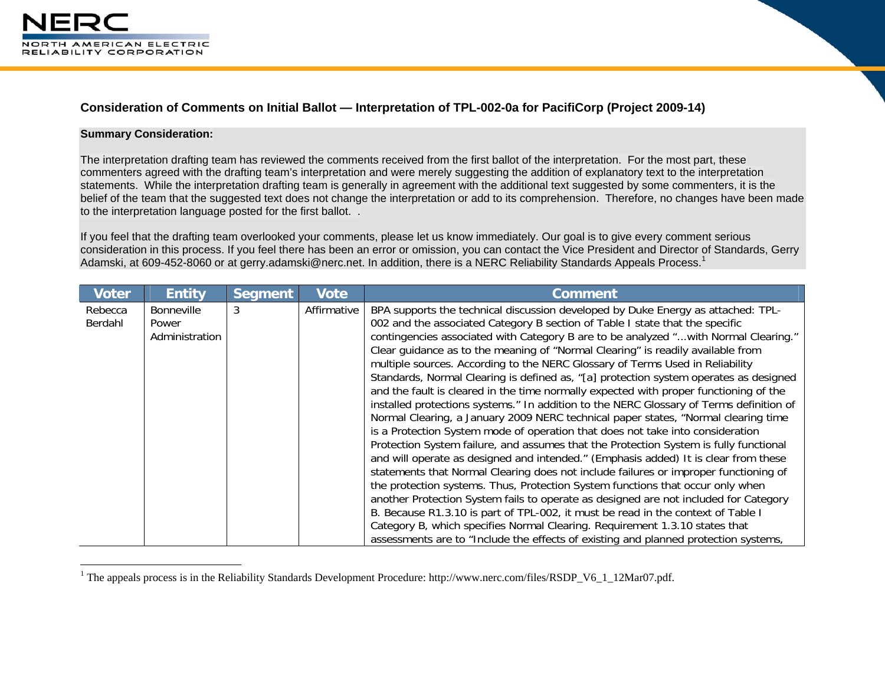

## **Consideration of Comments on Initial Ballot — Interpretation of TPL-002-0a for PacifiCorp (Project 2009-14)**

## **Summary Consideration:**

The interpretation drafting team has reviewed the comments received from the first ballot of the interpretation. For the most part, these commenters agreed with the drafting team's interpretation and were merely suggesting the addition of explanatory text to the interpretation statements. While the interpretation drafting team is generally in agreement with the additional text suggested by some commenters, it is the belief of the team that the suggested text does not change the interpretation or add to its comprehension. Therefore, no changes have been made to the interpretation language posted for the first ballot. .

If you feel that the drafting team overlooked your comments, please let us know immediately. Our goal is to give every comment serious consideration in this process. If you feel there has been an error or omission, you can contact the Vice President and Director of Standards, Gerry Adamski, at 609-452-8060 or at gerry.adamski@nerc.net. In addition, there is a NERC Reliability Standards Appeals Process.<sup>1</sup>

| <b>Voter</b>       | <b>Entity</b>                                | <b>Segment</b> | <b>Vote</b> | <b>Comment</b>                                                                                                                                                                                                                                                                                                                                                                                                                                                                                                                                                                                                                                                                                                                                                                                                                                                                                                                                                                                                                                                                                                                                                                                                                                                                                                                                                                                                                                                                                                                                                                               |
|--------------------|----------------------------------------------|----------------|-------------|----------------------------------------------------------------------------------------------------------------------------------------------------------------------------------------------------------------------------------------------------------------------------------------------------------------------------------------------------------------------------------------------------------------------------------------------------------------------------------------------------------------------------------------------------------------------------------------------------------------------------------------------------------------------------------------------------------------------------------------------------------------------------------------------------------------------------------------------------------------------------------------------------------------------------------------------------------------------------------------------------------------------------------------------------------------------------------------------------------------------------------------------------------------------------------------------------------------------------------------------------------------------------------------------------------------------------------------------------------------------------------------------------------------------------------------------------------------------------------------------------------------------------------------------------------------------------------------------|
| Rebecca<br>Berdahl | <b>Bonneville</b><br>Power<br>Administration | 3              | Affirmative | BPA supports the technical discussion developed by Duke Energy as attached: TPL-<br>002 and the associated Category B section of Table I state that the specific<br>contingencies associated with Category B are to be analyzed "with Normal Clearing."<br>Clear guidance as to the meaning of "Normal Clearing" is readily available from<br>multiple sources. According to the NERC Glossary of Terms Used in Reliability<br>Standards, Normal Clearing is defined as, "[a] protection system operates as designed<br>and the fault is cleared in the time normally expected with proper functioning of the<br>installed protections systems." In addition to the NERC Glossary of Terms definition of<br>Normal Clearing, a January 2009 NERC technical paper states, "Normal clearing time<br>is a Protection System mode of operation that does not take into consideration<br>Protection System failure, and assumes that the Protection System is fully functional<br>and will operate as designed and intended." (Emphasis added) It is clear from these<br>statements that Normal Clearing does not include failures or improper functioning of<br>the protection systems. Thus, Protection System functions that occur only when<br>another Protection System fails to operate as designed are not included for Category<br>B. Because R1.3.10 is part of TPL-002, it must be read in the context of Table I<br>Category B, which specifies Normal Clearing. Requirement 1.3.10 states that<br>assessments are to "Include the effects of existing and planned protection systems, |

<sup>&</sup>lt;sup>1</sup> The appeals process is in the Reliability Standards Development Procedure: http://www.nerc.com/files/RSDP\_V6\_1\_12Mar07.pdf.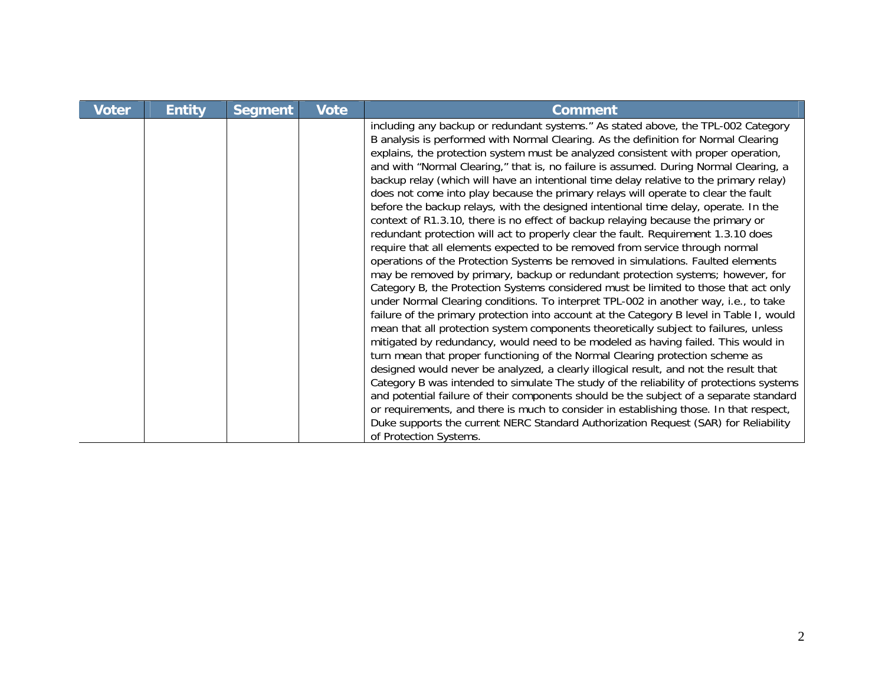| <b>Voter</b> | <b>Entity</b> | <b>Segment</b> | <b>Vote</b> | <b>Comment</b>                                                                                                                                                                                                                                                                                                                                                                                                                                                                                                                                                                                                                                                                                                                                                                                                                                                                                                                                                                                                                                                                                                                                                                                                                                                                                                                                                                                                                                                                                                                                                                                                                                                                                                                                                                                                                                                                                                                                                                                                                                                                                     |
|--------------|---------------|----------------|-------------|----------------------------------------------------------------------------------------------------------------------------------------------------------------------------------------------------------------------------------------------------------------------------------------------------------------------------------------------------------------------------------------------------------------------------------------------------------------------------------------------------------------------------------------------------------------------------------------------------------------------------------------------------------------------------------------------------------------------------------------------------------------------------------------------------------------------------------------------------------------------------------------------------------------------------------------------------------------------------------------------------------------------------------------------------------------------------------------------------------------------------------------------------------------------------------------------------------------------------------------------------------------------------------------------------------------------------------------------------------------------------------------------------------------------------------------------------------------------------------------------------------------------------------------------------------------------------------------------------------------------------------------------------------------------------------------------------------------------------------------------------------------------------------------------------------------------------------------------------------------------------------------------------------------------------------------------------------------------------------------------------------------------------------------------------------------------------------------------------|
|              |               |                |             | including any backup or redundant systems." As stated above, the TPL-002 Category<br>B analysis is performed with Normal Clearing. As the definition for Normal Clearing<br>explains, the protection system must be analyzed consistent with proper operation,<br>and with "Normal Clearing," that is, no failure is assumed. During Normal Clearing, a<br>backup relay (which will have an intentional time delay relative to the primary relay)<br>does not come into play because the primary relays will operate to clear the fault<br>before the backup relays, with the designed intentional time delay, operate. In the<br>context of R1.3.10, there is no effect of backup relaying because the primary or<br>redundant protection will act to properly clear the fault. Requirement 1.3.10 does<br>require that all elements expected to be removed from service through normal<br>operations of the Protection Systems be removed in simulations. Faulted elements<br>may be removed by primary, backup or redundant protection systems; however, for<br>Category B, the Protection Systems considered must be limited to those that act only<br>under Normal Clearing conditions. To interpret TPL-002 in another way, i.e., to take<br>failure of the primary protection into account at the Category B level in Table I, would<br>mean that all protection system components theoretically subject to failures, unless<br>mitigated by redundancy, would need to be modeled as having failed. This would in<br>turn mean that proper functioning of the Normal Clearing protection scheme as<br>designed would never be analyzed, a clearly illogical result, and not the result that<br>Category B was intended to simulate The study of the reliability of protections systems<br>and potential failure of their components should be the subject of a separate standard<br>or requirements, and there is much to consider in establishing those. In that respect,<br>Duke supports the current NERC Standard Authorization Request (SAR) for Reliability<br>of Protection Systems. |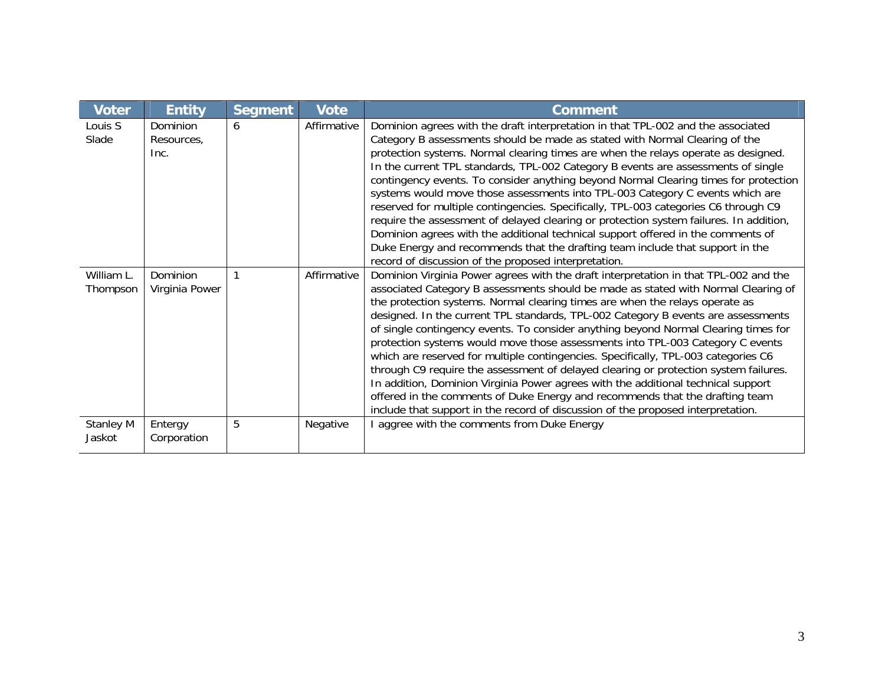| <b>Voter</b>               | <b>Entity</b>                  | <b>Segment</b> | <b>Vote</b> | <b>Comment</b>                                                                                                                                                                                                                                                                                                                                                                                                                                                                                                                                                                                                                                                                                                                                                                                                                                                                                                                                                  |
|----------------------------|--------------------------------|----------------|-------------|-----------------------------------------------------------------------------------------------------------------------------------------------------------------------------------------------------------------------------------------------------------------------------------------------------------------------------------------------------------------------------------------------------------------------------------------------------------------------------------------------------------------------------------------------------------------------------------------------------------------------------------------------------------------------------------------------------------------------------------------------------------------------------------------------------------------------------------------------------------------------------------------------------------------------------------------------------------------|
| Louis S<br>Slade           | Dominion<br>Resources,<br>Inc. | 6              | Affirmative | Dominion agrees with the draft interpretation in that TPL-002 and the associated<br>Category B assessments should be made as stated with Normal Clearing of the<br>protection systems. Normal clearing times are when the relays operate as designed.<br>In the current TPL standards, TPL-002 Category B events are assessments of single<br>contingency events. To consider anything beyond Normal Clearing times for protection<br>systems would move those assessments into TPL-003 Category C events which are<br>reserved for multiple contingencies. Specifically, TPL-003 categories C6 through C9<br>require the assessment of delayed clearing or protection system failures. In addition,<br>Dominion agrees with the additional technical support offered in the comments of<br>Duke Energy and recommends that the drafting team include that support in the<br>record of discussion of the proposed interpretation.                               |
| William L.<br>Thompson     | Dominion<br>Virginia Power     |                | Affirmative | Dominion Virginia Power agrees with the draft interpretation in that TPL-002 and the<br>associated Category B assessments should be made as stated with Normal Clearing of<br>the protection systems. Normal clearing times are when the relays operate as<br>designed. In the current TPL standards, TPL-002 Category B events are assessments<br>of single contingency events. To consider anything beyond Normal Clearing times for<br>protection systems would move those assessments into TPL-003 Category C events<br>which are reserved for multiple contingencies. Specifically, TPL-003 categories C6<br>through C9 require the assessment of delayed clearing or protection system failures.<br>In addition, Dominion Virginia Power agrees with the additional technical support<br>offered in the comments of Duke Energy and recommends that the drafting team<br>include that support in the record of discussion of the proposed interpretation. |
| <b>Stanley M</b><br>Jaskot | Entergy<br>Corporation         | 5              | Negative    | aggree with the comments from Duke Energy                                                                                                                                                                                                                                                                                                                                                                                                                                                                                                                                                                                                                                                                                                                                                                                                                                                                                                                       |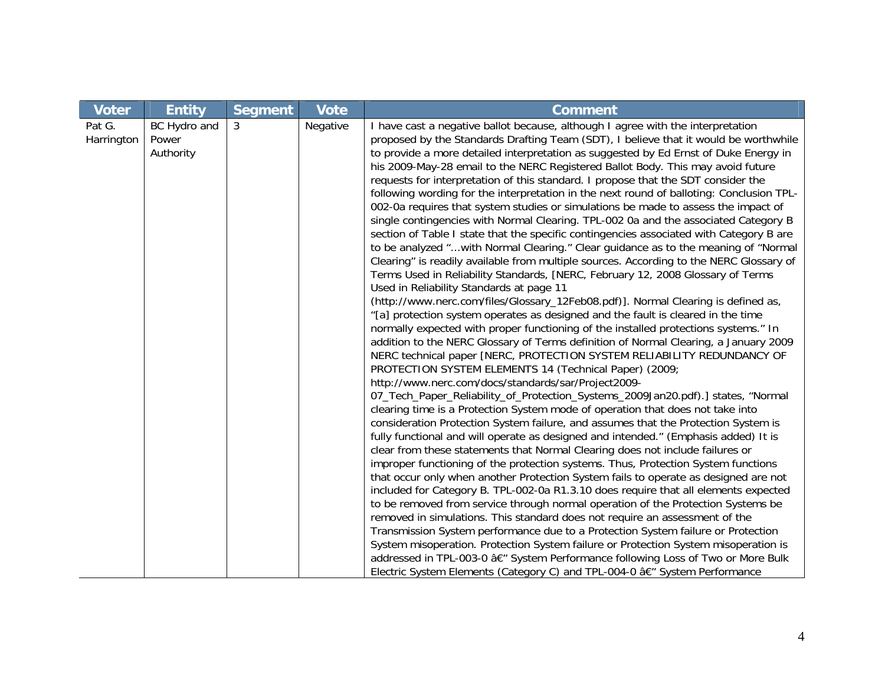| <b>Voter</b>         | <b>Entity</b>                      | <b>Segment</b> | <b>Vote</b> | <b>Comment</b>                                                                                                                                                                                                                                                                                                                                                                                                                                                                                                                                                                                                                                                                                                                                                                                                                                                                                                                                                                                                                                                                                                                                                                                                                                                                                                                                                                                                                                                                                                                                                                                                                                                                                                                                                                                                                                                                                                                                                                                                                                                                                                                                                                                                                                                                                                                                                                                                                                                                                                                                                                                                                                                                                                                                                                                                                                                                                         |
|----------------------|------------------------------------|----------------|-------------|--------------------------------------------------------------------------------------------------------------------------------------------------------------------------------------------------------------------------------------------------------------------------------------------------------------------------------------------------------------------------------------------------------------------------------------------------------------------------------------------------------------------------------------------------------------------------------------------------------------------------------------------------------------------------------------------------------------------------------------------------------------------------------------------------------------------------------------------------------------------------------------------------------------------------------------------------------------------------------------------------------------------------------------------------------------------------------------------------------------------------------------------------------------------------------------------------------------------------------------------------------------------------------------------------------------------------------------------------------------------------------------------------------------------------------------------------------------------------------------------------------------------------------------------------------------------------------------------------------------------------------------------------------------------------------------------------------------------------------------------------------------------------------------------------------------------------------------------------------------------------------------------------------------------------------------------------------------------------------------------------------------------------------------------------------------------------------------------------------------------------------------------------------------------------------------------------------------------------------------------------------------------------------------------------------------------------------------------------------------------------------------------------------------------------------------------------------------------------------------------------------------------------------------------------------------------------------------------------------------------------------------------------------------------------------------------------------------------------------------------------------------------------------------------------------------------------------------------------------------------------------------------------------|
| Pat G.<br>Harrington | BC Hydro and<br>Power<br>Authority | 3              | Negative    | I have cast a negative ballot because, although I agree with the interpretation<br>proposed by the Standards Drafting Team (SDT), I believe that it would be worthwhile<br>to provide a more detailed interpretation as suggested by Ed Ernst of Duke Energy in<br>his 2009-May-28 email to the NERC Registered Ballot Body. This may avoid future<br>requests for interpretation of this standard. I propose that the SDT consider the<br>following wording for the interpretation in the next round of balloting: Conclusion TPL-<br>002-0a requires that system studies or simulations be made to assess the impact of<br>single contingencies with Normal Clearing. TPL-002 0a and the associated Category B<br>section of Table I state that the specific contingencies associated with Category B are<br>to be analyzed "with Normal Clearing." Clear guidance as to the meaning of "Normal<br>Clearing" is readily available from multiple sources. According to the NERC Glossary of<br>Terms Used in Reliability Standards, [NERC, February 12, 2008 Glossary of Terms<br>Used in Reliability Standards at page 11<br>(http://www.nerc.com/files/Glossary_12Feb08.pdf)]. Normal Clearing is defined as,<br>"[a] protection system operates as designed and the fault is cleared in the time<br>normally expected with proper functioning of the installed protections systems." In<br>addition to the NERC Glossary of Terms definition of Normal Clearing, a January 2009<br>NERC technical paper [NERC, PROTECTION SYSTEM RELIABILITY REDUNDANCY OF<br>PROTECTION SYSTEM ELEMENTS 14 (Technical Paper) (2009;<br>http://www.nerc.com/docs/standards/sar/Project2009-<br>07_Tech_Paper_Reliability_of_Protection_Systems_2009Jan20.pdf).] states, "Normal<br>clearing time is a Protection System mode of operation that does not take into<br>consideration Protection System failure, and assumes that the Protection System is<br>fully functional and will operate as designed and intended." (Emphasis added) It is<br>clear from these statements that Normal Clearing does not include failures or<br>improper functioning of the protection systems. Thus, Protection System functions<br>that occur only when another Protection System fails to operate as designed are not<br>included for Category B. TPL-002-0a R1.3.10 does require that all elements expected<br>to be removed from service through normal operation of the Protection Systems be<br>removed in simulations. This standard does not require an assessment of the<br>Transmission System performance due to a Protection System failure or Protection<br>System misoperation. Protection System failure or Protection System misoperation is<br>addressed in TPL-003-0 â€" System Performance following Loss of Two or More Bulk<br>Electric System Elements (Category C) and TPL-004-0 â€" System Performance |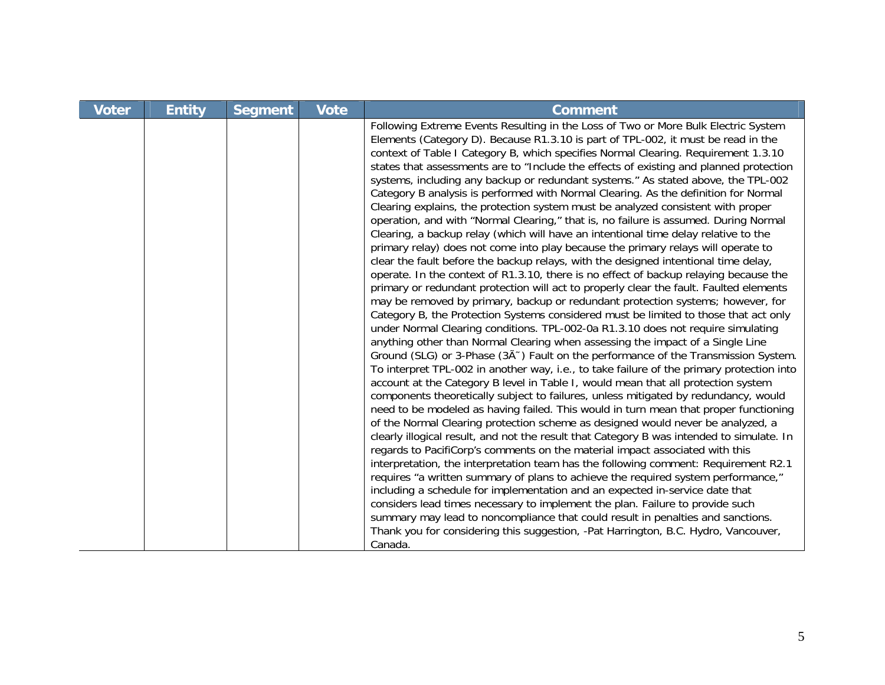| <b>Voter</b> | <b>Entity</b> | <b>Segment</b> | <b>Vote</b> | <b>Comment</b>                                                                                                                                                                                                                                                                                                                                                                                                                                                                                                                                                                                                                                                                                                                                                                                                                                                                                                                                                                                                                                                                                                                                                                                                                                                                                                                                                                                                                                                                                                                                                                                                                                                                                                                                                                                                                                                                                                                                                                                                                                                                                                                                                                                                                                                                                                                                                                                                                                                                                                                                                                                                                                                                                                                                                                                              |
|--------------|---------------|----------------|-------------|-------------------------------------------------------------------------------------------------------------------------------------------------------------------------------------------------------------------------------------------------------------------------------------------------------------------------------------------------------------------------------------------------------------------------------------------------------------------------------------------------------------------------------------------------------------------------------------------------------------------------------------------------------------------------------------------------------------------------------------------------------------------------------------------------------------------------------------------------------------------------------------------------------------------------------------------------------------------------------------------------------------------------------------------------------------------------------------------------------------------------------------------------------------------------------------------------------------------------------------------------------------------------------------------------------------------------------------------------------------------------------------------------------------------------------------------------------------------------------------------------------------------------------------------------------------------------------------------------------------------------------------------------------------------------------------------------------------------------------------------------------------------------------------------------------------------------------------------------------------------------------------------------------------------------------------------------------------------------------------------------------------------------------------------------------------------------------------------------------------------------------------------------------------------------------------------------------------------------------------------------------------------------------------------------------------------------------------------------------------------------------------------------------------------------------------------------------------------------------------------------------------------------------------------------------------------------------------------------------------------------------------------------------------------------------------------------------------------------------------------------------------------------------------------------------------|
|              |               |                |             | Following Extreme Events Resulting in the Loss of Two or More Bulk Electric System<br>Elements (Category D). Because R1.3.10 is part of TPL-002, it must be read in the<br>context of Table I Category B, which specifies Normal Clearing. Requirement 1.3.10<br>states that assessments are to "Include the effects of existing and planned protection<br>systems, including any backup or redundant systems." As stated above, the TPL-002<br>Category B analysis is performed with Normal Clearing. As the definition for Normal<br>Clearing explains, the protection system must be analyzed consistent with proper<br>operation, and with "Normal Clearing," that is, no failure is assumed. During Normal<br>Clearing, a backup relay (which will have an intentional time delay relative to the<br>primary relay) does not come into play because the primary relays will operate to<br>clear the fault before the backup relays, with the designed intentional time delay,<br>operate. In the context of R1.3.10, there is no effect of backup relaying because the<br>primary or redundant protection will act to properly clear the fault. Faulted elements<br>may be removed by primary, backup or redundant protection systems; however, for<br>Category B, the Protection Systems considered must be limited to those that act only<br>under Normal Clearing conditions. TPL-002-0a R1.3.10 does not require simulating<br>anything other than Normal Clearing when assessing the impact of a Single Line<br>Ground (SLG) or 3-Phase (3A <sup><math>\sim</math></sup> ) Fault on the performance of the Transmission System.<br>To interpret TPL-002 in another way, i.e., to take failure of the primary protection into<br>account at the Category B level in Table I, would mean that all protection system<br>components theoretically subject to failures, unless mitigated by redundancy, would<br>need to be modeled as having failed. This would in turn mean that proper functioning<br>of the Normal Clearing protection scheme as designed would never be analyzed, a<br>clearly illogical result, and not the result that Category B was intended to simulate. In<br>regards to PacifiCorp's comments on the material impact associated with this<br>interpretation, the interpretation team has the following comment: Requirement R2.1<br>requires "a written summary of plans to achieve the required system performance,"<br>including a schedule for implementation and an expected in-service date that<br>considers lead times necessary to implement the plan. Failure to provide such<br>summary may lead to noncompliance that could result in penalties and sanctions.<br>Thank you for considering this suggestion, -Pat Harrington, B.C. Hydro, Vancouver,<br>Canada. |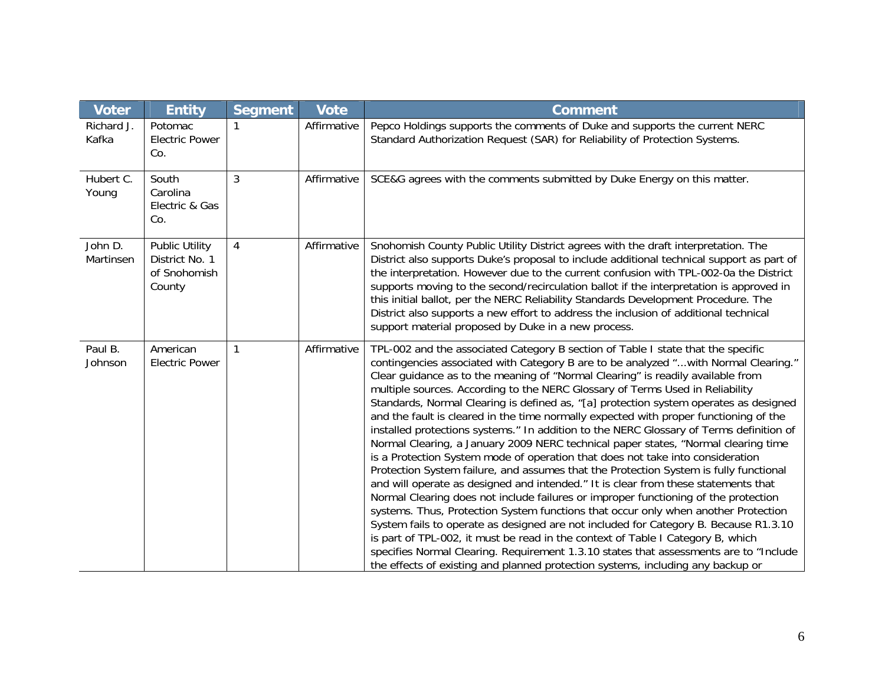| <b>Voter</b>         | <b>Entity</b>                                                     | <b>Segment</b> | <b>Vote</b> | <b>Comment</b>                                                                                                                                                                                                                                                                                                                                                                                                                                                                                                                                                                                                                                                                                                                                                                                                                                                                                                                                                                                                                                                                                                                                                                                                                                                                                                                                                                                                                                                                                                      |
|----------------------|-------------------------------------------------------------------|----------------|-------------|---------------------------------------------------------------------------------------------------------------------------------------------------------------------------------------------------------------------------------------------------------------------------------------------------------------------------------------------------------------------------------------------------------------------------------------------------------------------------------------------------------------------------------------------------------------------------------------------------------------------------------------------------------------------------------------------------------------------------------------------------------------------------------------------------------------------------------------------------------------------------------------------------------------------------------------------------------------------------------------------------------------------------------------------------------------------------------------------------------------------------------------------------------------------------------------------------------------------------------------------------------------------------------------------------------------------------------------------------------------------------------------------------------------------------------------------------------------------------------------------------------------------|
| Richard J.<br>Kafka  | Potomac<br><b>Electric Power</b><br>Co.                           |                | Affirmative | Pepco Holdings supports the comments of Duke and supports the current NERC<br>Standard Authorization Request (SAR) for Reliability of Protection Systems.                                                                                                                                                                                                                                                                                                                                                                                                                                                                                                                                                                                                                                                                                                                                                                                                                                                                                                                                                                                                                                                                                                                                                                                                                                                                                                                                                           |
| Hubert C.<br>Young   | South<br>Carolina<br>Electric & Gas<br>Co.                        | 3              | Affirmative | SCE&G agrees with the comments submitted by Duke Energy on this matter.                                                                                                                                                                                                                                                                                                                                                                                                                                                                                                                                                                                                                                                                                                                                                                                                                                                                                                                                                                                                                                                                                                                                                                                                                                                                                                                                                                                                                                             |
| John D.<br>Martinsen | <b>Public Utility</b><br>District No. 1<br>of Snohomish<br>County | $\overline{4}$ | Affirmative | Snohomish County Public Utility District agrees with the draft interpretation. The<br>District also supports Duke's proposal to include additional technical support as part of<br>the interpretation. However due to the current confusion with TPL-002-0a the District<br>supports moving to the second/recirculation ballot if the interpretation is approved in<br>this initial ballot, per the NERC Reliability Standards Development Procedure. The<br>District also supports a new effort to address the inclusion of additional technical<br>support material proposed by Duke in a new process.                                                                                                                                                                                                                                                                                                                                                                                                                                                                                                                                                                                                                                                                                                                                                                                                                                                                                                            |
| Paul B.<br>Johnson   | American<br><b>Electric Power</b>                                 | 1              | Affirmative | TPL-002 and the associated Category B section of Table I state that the specific<br>contingencies associated with Category B are to be analyzed "with Normal Clearing."<br>Clear guidance as to the meaning of "Normal Clearing" is readily available from<br>multiple sources. According to the NERC Glossary of Terms Used in Reliability<br>Standards, Normal Clearing is defined as, "[a] protection system operates as designed<br>and the fault is cleared in the time normally expected with proper functioning of the<br>installed protections systems." In addition to the NERC Glossary of Terms definition of<br>Normal Clearing, a January 2009 NERC technical paper states, "Normal clearing time<br>is a Protection System mode of operation that does not take into consideration<br>Protection System failure, and assumes that the Protection System is fully functional<br>and will operate as designed and intended." It is clear from these statements that<br>Normal Clearing does not include failures or improper functioning of the protection<br>systems. Thus, Protection System functions that occur only when another Protection<br>System fails to operate as designed are not included for Category B. Because R1.3.10<br>is part of TPL-002, it must be read in the context of Table I Category B, which<br>specifies Normal Clearing. Requirement 1.3.10 states that assessments are to "Include<br>the effects of existing and planned protection systems, including any backup or |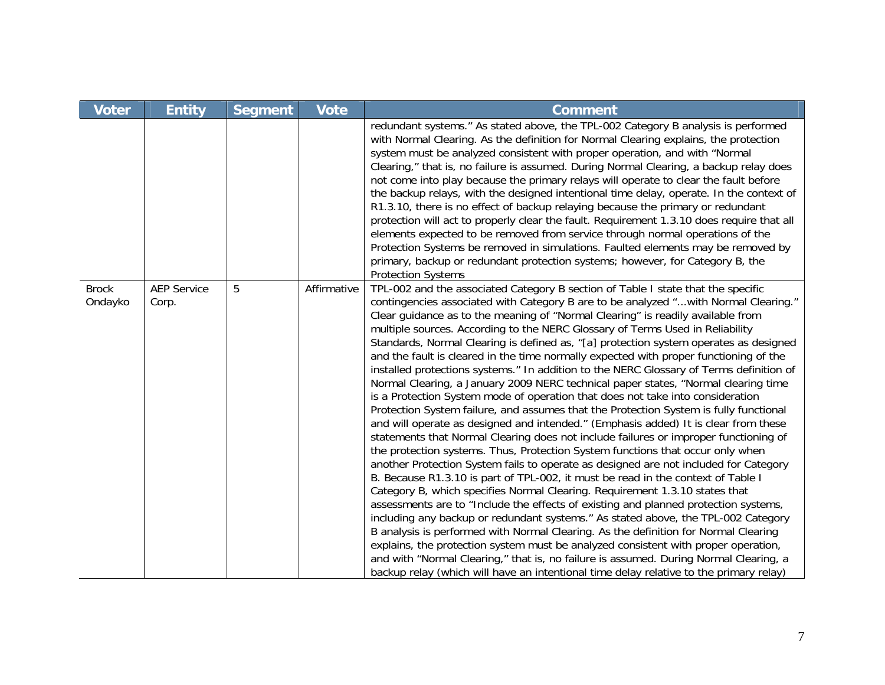| <b>Voter</b>            | <b>Entity</b>               | <b>Segment</b> | <b>Vote</b> | <b>Comment</b>                                                                                                                                                                                                                                                                                                                                                                                                                                                                                                                                                                                                                                                                                                                                                                                                                                                                                                                                                                                                                                                                                                                                                                                                                                                                                                                                                                                                                                                                                                                                                                                                                                                                                                                                                                                                                                                                                                                                                    |
|-------------------------|-----------------------------|----------------|-------------|-------------------------------------------------------------------------------------------------------------------------------------------------------------------------------------------------------------------------------------------------------------------------------------------------------------------------------------------------------------------------------------------------------------------------------------------------------------------------------------------------------------------------------------------------------------------------------------------------------------------------------------------------------------------------------------------------------------------------------------------------------------------------------------------------------------------------------------------------------------------------------------------------------------------------------------------------------------------------------------------------------------------------------------------------------------------------------------------------------------------------------------------------------------------------------------------------------------------------------------------------------------------------------------------------------------------------------------------------------------------------------------------------------------------------------------------------------------------------------------------------------------------------------------------------------------------------------------------------------------------------------------------------------------------------------------------------------------------------------------------------------------------------------------------------------------------------------------------------------------------------------------------------------------------------------------------------------------------|
|                         |                             |                |             | redundant systems." As stated above, the TPL-002 Category B analysis is performed<br>with Normal Clearing. As the definition for Normal Clearing explains, the protection<br>system must be analyzed consistent with proper operation, and with "Normal<br>Clearing," that is, no failure is assumed. During Normal Clearing, a backup relay does<br>not come into play because the primary relays will operate to clear the fault before<br>the backup relays, with the designed intentional time delay, operate. In the context of<br>R1.3.10, there is no effect of backup relaying because the primary or redundant<br>protection will act to properly clear the fault. Requirement 1.3.10 does require that all<br>elements expected to be removed from service through normal operations of the<br>Protection Systems be removed in simulations. Faulted elements may be removed by<br>primary, backup or redundant protection systems; however, for Category B, the<br><b>Protection Systems</b>                                                                                                                                                                                                                                                                                                                                                                                                                                                                                                                                                                                                                                                                                                                                                                                                                                                                                                                                                           |
| <b>Brock</b><br>Ondayko | <b>AEP Service</b><br>Corp. | 5              | Affirmative | TPL-002 and the associated Category B section of Table I state that the specific<br>contingencies associated with Category B are to be analyzed "with Normal Clearing."<br>Clear guidance as to the meaning of "Normal Clearing" is readily available from<br>multiple sources. According to the NERC Glossary of Terms Used in Reliability<br>Standards, Normal Clearing is defined as, "[a] protection system operates as designed<br>and the fault is cleared in the time normally expected with proper functioning of the<br>installed protections systems." In addition to the NERC Glossary of Terms definition of<br>Normal Clearing, a January 2009 NERC technical paper states, "Normal clearing time<br>is a Protection System mode of operation that does not take into consideration<br>Protection System failure, and assumes that the Protection System is fully functional<br>and will operate as designed and intended." (Emphasis added) It is clear from these<br>statements that Normal Clearing does not include failures or improper functioning of<br>the protection systems. Thus, Protection System functions that occur only when<br>another Protection System fails to operate as designed are not included for Category<br>B. Because R1.3.10 is part of TPL-002, it must be read in the context of Table I<br>Category B, which specifies Normal Clearing. Requirement 1.3.10 states that<br>assessments are to "Include the effects of existing and planned protection systems,<br>including any backup or redundant systems." As stated above, the TPL-002 Category<br>B analysis is performed with Normal Clearing. As the definition for Normal Clearing<br>explains, the protection system must be analyzed consistent with proper operation,<br>and with "Normal Clearing," that is, no failure is assumed. During Normal Clearing, a<br>backup relay (which will have an intentional time delay relative to the primary relay) |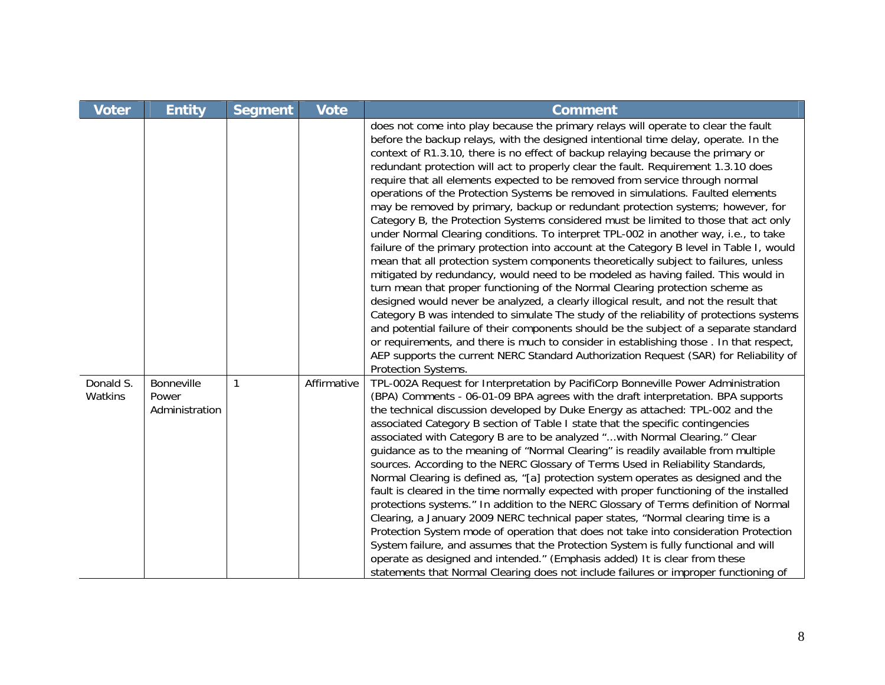| <b>Voter</b>         | <b>Entity</b>                         | <b>Segment</b> | <b>Vote</b> | <b>Comment</b>                                                                                                                                                                                                                                                                                                                                                                                                                                                                                                                                                                                                                                                                                                                                                                                                                                                                                                                                                                                                                                                                                                                                                                                                                                                                                                                                                                                                                                                                                                                                                                                                                               |
|----------------------|---------------------------------------|----------------|-------------|----------------------------------------------------------------------------------------------------------------------------------------------------------------------------------------------------------------------------------------------------------------------------------------------------------------------------------------------------------------------------------------------------------------------------------------------------------------------------------------------------------------------------------------------------------------------------------------------------------------------------------------------------------------------------------------------------------------------------------------------------------------------------------------------------------------------------------------------------------------------------------------------------------------------------------------------------------------------------------------------------------------------------------------------------------------------------------------------------------------------------------------------------------------------------------------------------------------------------------------------------------------------------------------------------------------------------------------------------------------------------------------------------------------------------------------------------------------------------------------------------------------------------------------------------------------------------------------------------------------------------------------------|
|                      |                                       |                |             | does not come into play because the primary relays will operate to clear the fault<br>before the backup relays, with the designed intentional time delay, operate. In the<br>context of R1.3.10, there is no effect of backup relaying because the primary or<br>redundant protection will act to properly clear the fault. Requirement 1.3.10 does<br>require that all elements expected to be removed from service through normal<br>operations of the Protection Systems be removed in simulations. Faulted elements<br>may be removed by primary, backup or redundant protection systems; however, for<br>Category B, the Protection Systems considered must be limited to those that act only<br>under Normal Clearing conditions. To interpret TPL-002 in another way, i.e., to take<br>failure of the primary protection into account at the Category B level in Table I, would<br>mean that all protection system components theoretically subject to failures, unless<br>mitigated by redundancy, would need to be modeled as having failed. This would in<br>turn mean that proper functioning of the Normal Clearing protection scheme as<br>designed would never be analyzed, a clearly illogical result, and not the result that<br>Category B was intended to simulate The study of the reliability of protections systems<br>and potential failure of their components should be the subject of a separate standard<br>or requirements, and there is much to consider in establishing those. In that respect,<br>AEP supports the current NERC Standard Authorization Request (SAR) for Reliability of<br>Protection Systems. |
| Donald S.<br>Watkins | Bonneville<br>Power<br>Administration | 1              | Affirmative | TPL-002A Request for Interpretation by PacifiCorp Bonneville Power Administration<br>(BPA) Comments - 06-01-09 BPA agrees with the draft interpretation. BPA supports<br>the technical discussion developed by Duke Energy as attached: TPL-002 and the<br>associated Category B section of Table I state that the specific contingencies<br>associated with Category B are to be analyzed "with Normal Clearing." Clear<br>guidance as to the meaning of "Normal Clearing" is readily available from multiple<br>sources. According to the NERC Glossary of Terms Used in Reliability Standards,<br>Normal Clearing is defined as, "[a] protection system operates as designed and the<br>fault is cleared in the time normally expected with proper functioning of the installed<br>protections systems." In addition to the NERC Glossary of Terms definition of Normal<br>Clearing, a January 2009 NERC technical paper states, "Normal clearing time is a<br>Protection System mode of operation that does not take into consideration Protection<br>System failure, and assumes that the Protection System is fully functional and will<br>operate as designed and intended." (Emphasis added) It is clear from these<br>statements that Normal Clearing does not include failures or improper functioning of                                                                                                                                                                                                                                                                                                                          |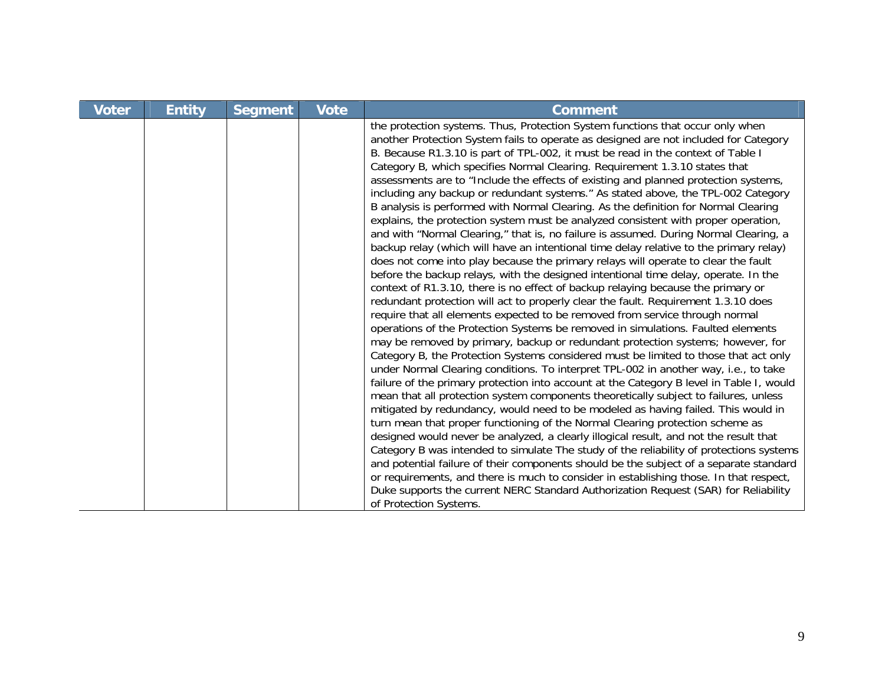| <b>Voter</b> | <b>Entity</b> | <b>Segment</b> | <b>Vote</b> | <b>Comment</b>                                                                                                                                                                                                                                                                                                                                                                                                                                                                                                                                                                                                                                                                                                                                                                                                                                                                                                                                                                                                                                                                                                                                                                                                                                                                                                                                                                                                                                                                                                                                                                                                                                                                                                                                                                                                                                                                                                                                                                                                                                                                                                                                                                                                                                                                                                                                                                                                                                                                                                                         |
|--------------|---------------|----------------|-------------|----------------------------------------------------------------------------------------------------------------------------------------------------------------------------------------------------------------------------------------------------------------------------------------------------------------------------------------------------------------------------------------------------------------------------------------------------------------------------------------------------------------------------------------------------------------------------------------------------------------------------------------------------------------------------------------------------------------------------------------------------------------------------------------------------------------------------------------------------------------------------------------------------------------------------------------------------------------------------------------------------------------------------------------------------------------------------------------------------------------------------------------------------------------------------------------------------------------------------------------------------------------------------------------------------------------------------------------------------------------------------------------------------------------------------------------------------------------------------------------------------------------------------------------------------------------------------------------------------------------------------------------------------------------------------------------------------------------------------------------------------------------------------------------------------------------------------------------------------------------------------------------------------------------------------------------------------------------------------------------------------------------------------------------------------------------------------------------------------------------------------------------------------------------------------------------------------------------------------------------------------------------------------------------------------------------------------------------------------------------------------------------------------------------------------------------------------------------------------------------------------------------------------------------|
|              |               |                |             | the protection systems. Thus, Protection System functions that occur only when<br>another Protection System fails to operate as designed are not included for Category<br>B. Because R1.3.10 is part of TPL-002, it must be read in the context of Table I<br>Category B, which specifies Normal Clearing. Requirement 1.3.10 states that<br>assessments are to "Include the effects of existing and planned protection systems,<br>including any backup or redundant systems." As stated above, the TPL-002 Category<br>B analysis is performed with Normal Clearing. As the definition for Normal Clearing<br>explains, the protection system must be analyzed consistent with proper operation,<br>and with "Normal Clearing," that is, no failure is assumed. During Normal Clearing, a<br>backup relay (which will have an intentional time delay relative to the primary relay)<br>does not come into play because the primary relays will operate to clear the fault<br>before the backup relays, with the designed intentional time delay, operate. In the<br>context of R1.3.10, there is no effect of backup relaying because the primary or<br>redundant protection will act to properly clear the fault. Requirement 1.3.10 does<br>require that all elements expected to be removed from service through normal<br>operations of the Protection Systems be removed in simulations. Faulted elements<br>may be removed by primary, backup or redundant protection systems; however, for<br>Category B, the Protection Systems considered must be limited to those that act only<br>under Normal Clearing conditions. To interpret TPL-002 in another way, i.e., to take<br>failure of the primary protection into account at the Category B level in Table I, would<br>mean that all protection system components theoretically subject to failures, unless<br>mitigated by redundancy, would need to be modeled as having failed. This would in<br>turn mean that proper functioning of the Normal Clearing protection scheme as<br>designed would never be analyzed, a clearly illogical result, and not the result that<br>Category B was intended to simulate The study of the reliability of protections systems<br>and potential failure of their components should be the subject of a separate standard<br>or requirements, and there is much to consider in establishing those. In that respect,<br>Duke supports the current NERC Standard Authorization Request (SAR) for Reliability<br>of Protection Systems. |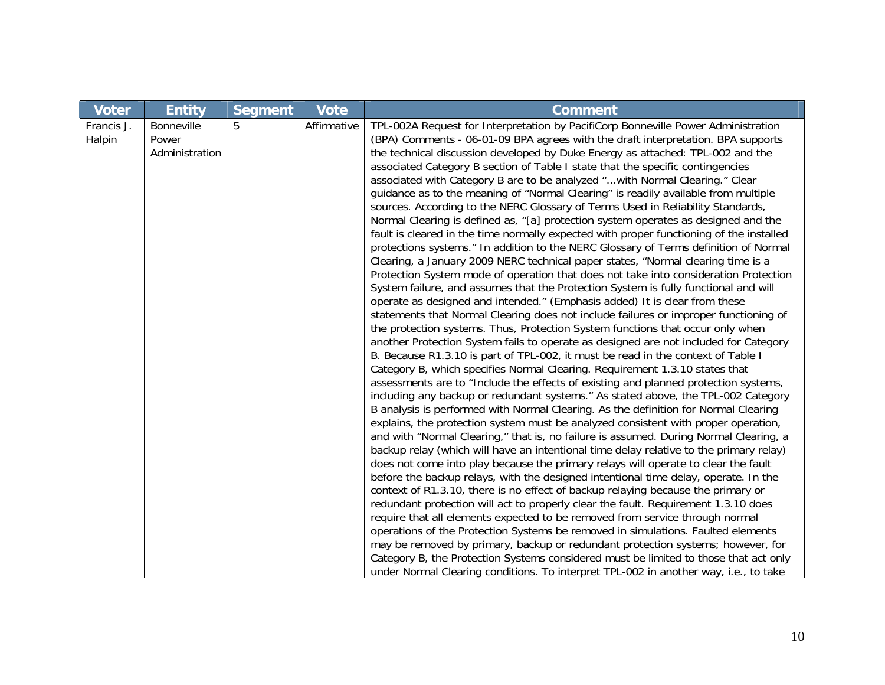| <b>Voter</b> | <b>Entity</b>  | <b>Segment</b> | <b>Vote</b> | <b>Comment</b>                                                                          |
|--------------|----------------|----------------|-------------|-----------------------------------------------------------------------------------------|
| Francis J.   | Bonneville     | 5              | Affirmative | TPL-002A Request for Interpretation by PacifiCorp Bonneville Power Administration       |
| Halpin       | Power          |                |             | (BPA) Comments - 06-01-09 BPA agrees with the draft interpretation. BPA supports        |
|              | Administration |                |             | the technical discussion developed by Duke Energy as attached: TPL-002 and the          |
|              |                |                |             | associated Category B section of Table I state that the specific contingencies          |
|              |                |                |             | associated with Category B are to be analyzed "with Normal Clearing." Clear             |
|              |                |                |             | guidance as to the meaning of "Normal Clearing" is readily available from multiple      |
|              |                |                |             | sources. According to the NERC Glossary of Terms Used in Reliability Standards,         |
|              |                |                |             | Normal Clearing is defined as, "[a] protection system operates as designed and the      |
|              |                |                |             | fault is cleared in the time normally expected with proper functioning of the installed |
|              |                |                |             | protections systems." In addition to the NERC Glossary of Terms definition of Normal    |
|              |                |                |             | Clearing, a January 2009 NERC technical paper states, "Normal clearing time is a        |
|              |                |                |             | Protection System mode of operation that does not take into consideration Protection    |
|              |                |                |             | System failure, and assumes that the Protection System is fully functional and will     |
|              |                |                |             | operate as designed and intended." (Emphasis added) It is clear from these              |
|              |                |                |             | statements that Normal Clearing does not include failures or improper functioning of    |
|              |                |                |             | the protection systems. Thus, Protection System functions that occur only when          |
|              |                |                |             | another Protection System fails to operate as designed are not included for Category    |
|              |                |                |             | B. Because R1.3.10 is part of TPL-002, it must be read in the context of Table I        |
|              |                |                |             | Category B, which specifies Normal Clearing. Requirement 1.3.10 states that             |
|              |                |                |             | assessments are to "Include the effects of existing and planned protection systems,     |
|              |                |                |             | including any backup or redundant systems." As stated above, the TPL-002 Category       |
|              |                |                |             | B analysis is performed with Normal Clearing. As the definition for Normal Clearing     |
|              |                |                |             | explains, the protection system must be analyzed consistent with proper operation,      |
|              |                |                |             | and with "Normal Clearing," that is, no failure is assumed. During Normal Clearing, a   |
|              |                |                |             | backup relay (which will have an intentional time delay relative to the primary relay)  |
|              |                |                |             | does not come into play because the primary relays will operate to clear the fault      |
|              |                |                |             | before the backup relays, with the designed intentional time delay, operate. In the     |
|              |                |                |             | context of R1.3.10, there is no effect of backup relaying because the primary or        |
|              |                |                |             | redundant protection will act to properly clear the fault. Requirement 1.3.10 does      |
|              |                |                |             | require that all elements expected to be removed from service through normal            |
|              |                |                |             | operations of the Protection Systems be removed in simulations. Faulted elements        |
|              |                |                |             | may be removed by primary, backup or redundant protection systems; however, for         |
|              |                |                |             | Category B, the Protection Systems considered must be limited to those that act only    |
|              |                |                |             | under Normal Clearing conditions. To interpret TPL-002 in another way, i.e., to take    |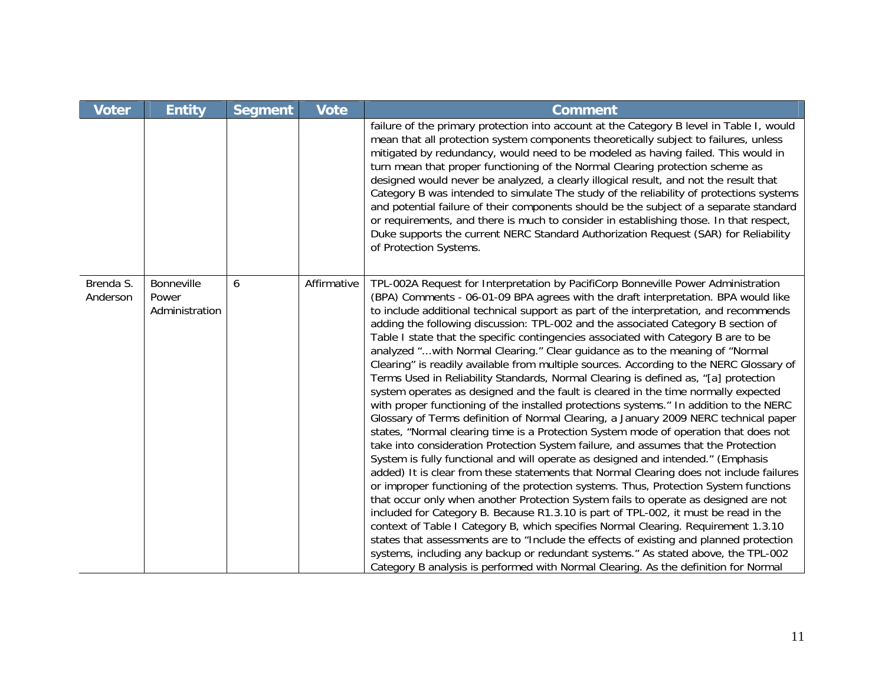| <b>Voter</b>          | <b>Entity</b>                         | <b>Segment</b> | <b>Vote</b> | <b>Comment</b>                                                                                                                                                                                                                                                                                                                                                                                                                                                                                                                                                                                                                                                                                                                                                                                                                                                                                                                                                                                                                                                                                                                                                                                                                                                                                                                                                                                                                                                                                                                                                                                                                                                                                                                                                                                                                                                                                                                                                                        |
|-----------------------|---------------------------------------|----------------|-------------|---------------------------------------------------------------------------------------------------------------------------------------------------------------------------------------------------------------------------------------------------------------------------------------------------------------------------------------------------------------------------------------------------------------------------------------------------------------------------------------------------------------------------------------------------------------------------------------------------------------------------------------------------------------------------------------------------------------------------------------------------------------------------------------------------------------------------------------------------------------------------------------------------------------------------------------------------------------------------------------------------------------------------------------------------------------------------------------------------------------------------------------------------------------------------------------------------------------------------------------------------------------------------------------------------------------------------------------------------------------------------------------------------------------------------------------------------------------------------------------------------------------------------------------------------------------------------------------------------------------------------------------------------------------------------------------------------------------------------------------------------------------------------------------------------------------------------------------------------------------------------------------------------------------------------------------------------------------------------------------|
|                       |                                       |                |             | failure of the primary protection into account at the Category B level in Table I, would<br>mean that all protection system components theoretically subject to failures, unless<br>mitigated by redundancy, would need to be modeled as having failed. This would in<br>turn mean that proper functioning of the Normal Clearing protection scheme as<br>designed would never be analyzed, a clearly illogical result, and not the result that<br>Category B was intended to simulate The study of the reliability of protections systems<br>and potential failure of their components should be the subject of a separate standard<br>or requirements, and there is much to consider in establishing those. In that respect,<br>Duke supports the current NERC Standard Authorization Request (SAR) for Reliability<br>of Protection Systems.                                                                                                                                                                                                                                                                                                                                                                                                                                                                                                                                                                                                                                                                                                                                                                                                                                                                                                                                                                                                                                                                                                                                       |
| Brenda S.<br>Anderson | Bonneville<br>Power<br>Administration | 6              | Affirmative | TPL-002A Request for Interpretation by PacifiCorp Bonneville Power Administration<br>(BPA) Comments - 06-01-09 BPA agrees with the draft interpretation. BPA would like<br>to include additional technical support as part of the interpretation, and recommends<br>adding the following discussion: TPL-002 and the associated Category B section of<br>Table I state that the specific contingencies associated with Category B are to be<br>analyzed " with Normal Clearing." Clear guidance as to the meaning of "Normal<br>Clearing" is readily available from multiple sources. According to the NERC Glossary of<br>Terms Used in Reliability Standards, Normal Clearing is defined as, "[a] protection<br>system operates as designed and the fault is cleared in the time normally expected<br>with proper functioning of the installed protections systems." In addition to the NERC<br>Glossary of Terms definition of Normal Clearing, a January 2009 NERC technical paper<br>states, "Normal clearing time is a Protection System mode of operation that does not<br>take into consideration Protection System failure, and assumes that the Protection<br>System is fully functional and will operate as designed and intended." (Emphasis<br>added) It is clear from these statements that Normal Clearing does not include failures<br>or improper functioning of the protection systems. Thus, Protection System functions<br>that occur only when another Protection System fails to operate as designed are not<br>included for Category B. Because R1.3.10 is part of TPL-002, it must be read in the<br>context of Table I Category B, which specifies Normal Clearing. Requirement 1.3.10<br>states that assessments are to "Include the effects of existing and planned protection<br>systems, including any backup or redundant systems." As stated above, the TPL-002<br>Category B analysis is performed with Normal Clearing. As the definition for Normal |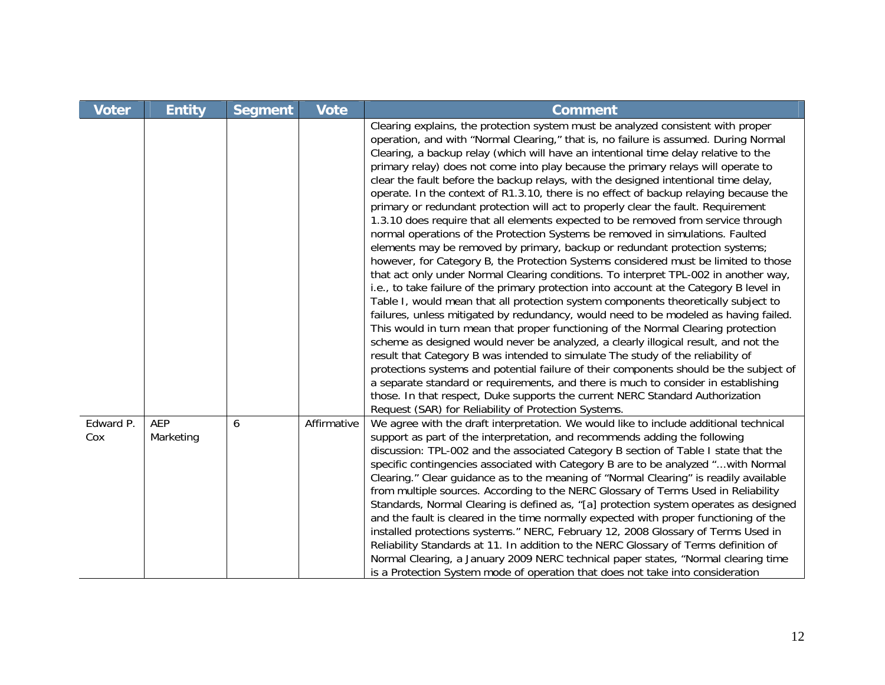| <b>Voter</b>     | <b>Entity</b>           | <b>Segment</b> | <b>Vote</b> | <b>Comment</b>                                                                                                                                                                                                                                                                                                                                                                                                                                                                                                                                                                                                                                                                                                                                                                                                                                                                                                                                                                                                                                                                                                                                                                                                                                                                                                                                                                                                                                                                                                                                                                                                                                                                                                                                                                                                                                                                                                                  |
|------------------|-------------------------|----------------|-------------|---------------------------------------------------------------------------------------------------------------------------------------------------------------------------------------------------------------------------------------------------------------------------------------------------------------------------------------------------------------------------------------------------------------------------------------------------------------------------------------------------------------------------------------------------------------------------------------------------------------------------------------------------------------------------------------------------------------------------------------------------------------------------------------------------------------------------------------------------------------------------------------------------------------------------------------------------------------------------------------------------------------------------------------------------------------------------------------------------------------------------------------------------------------------------------------------------------------------------------------------------------------------------------------------------------------------------------------------------------------------------------------------------------------------------------------------------------------------------------------------------------------------------------------------------------------------------------------------------------------------------------------------------------------------------------------------------------------------------------------------------------------------------------------------------------------------------------------------------------------------------------------------------------------------------------|
|                  |                         |                |             | Clearing explains, the protection system must be analyzed consistent with proper<br>operation, and with "Normal Clearing," that is, no failure is assumed. During Normal<br>Clearing, a backup relay (which will have an intentional time delay relative to the<br>primary relay) does not come into play because the primary relays will operate to<br>clear the fault before the backup relays, with the designed intentional time delay,<br>operate. In the context of R1.3.10, there is no effect of backup relaying because the<br>primary or redundant protection will act to properly clear the fault. Requirement<br>1.3.10 does require that all elements expected to be removed from service through<br>normal operations of the Protection Systems be removed in simulations. Faulted<br>elements may be removed by primary, backup or redundant protection systems;<br>however, for Category B, the Protection Systems considered must be limited to those<br>that act only under Normal Clearing conditions. To interpret TPL-002 in another way,<br>i.e., to take failure of the primary protection into account at the Category B level in<br>Table I, would mean that all protection system components theoretically subject to<br>failures, unless mitigated by redundancy, would need to be modeled as having failed.<br>This would in turn mean that proper functioning of the Normal Clearing protection<br>scheme as designed would never be analyzed, a clearly illogical result, and not the<br>result that Category B was intended to simulate The study of the reliability of<br>protections systems and potential failure of their components should be the subject of<br>a separate standard or requirements, and there is much to consider in establishing<br>those. In that respect, Duke supports the current NERC Standard Authorization<br>Request (SAR) for Reliability of Protection Systems. |
| Edward P.<br>Cox | <b>AEP</b><br>Marketing | 6              | Affirmative | We agree with the draft interpretation. We would like to include additional technical<br>support as part of the interpretation, and recommends adding the following<br>discussion: TPL-002 and the associated Category B section of Table I state that the<br>specific contingencies associated with Category B are to be analyzed "with Normal<br>Clearing." Clear guidance as to the meaning of "Normal Clearing" is readily available<br>from multiple sources. According to the NERC Glossary of Terms Used in Reliability<br>Standards, Normal Clearing is defined as, "[a] protection system operates as designed<br>and the fault is cleared in the time normally expected with proper functioning of the<br>installed protections systems." NERC, February 12, 2008 Glossary of Terms Used in<br>Reliability Standards at 11. In addition to the NERC Glossary of Terms definition of<br>Normal Clearing, a January 2009 NERC technical paper states, "Normal clearing time<br>is a Protection System mode of operation that does not take into consideration                                                                                                                                                                                                                                                                                                                                                                                                                                                                                                                                                                                                                                                                                                                                                                                                                                                           |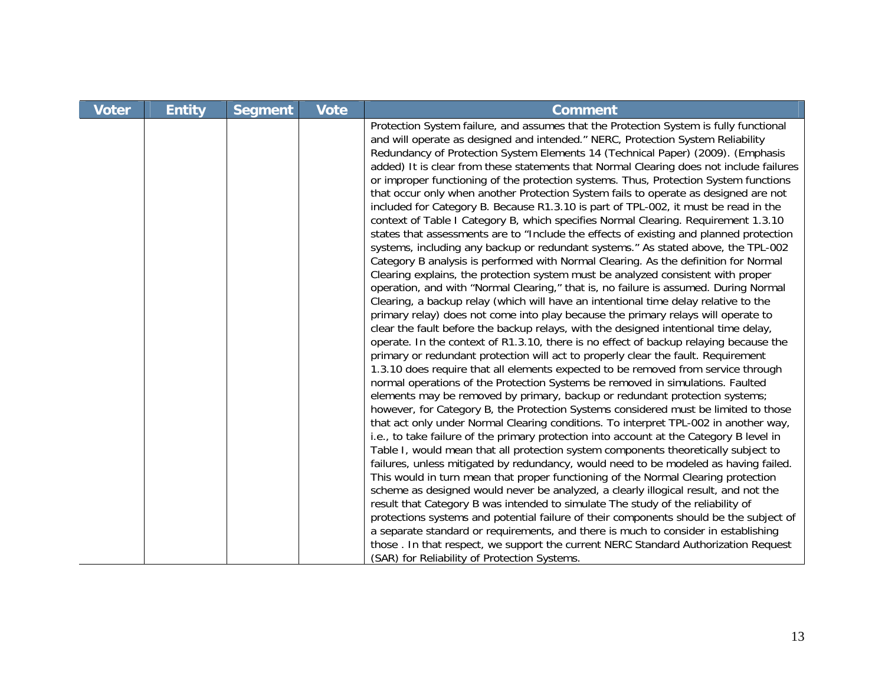| <b>Voter</b> | <b>Entity</b> | <b>Segment</b> | <b>Vote</b> | <b>Comment</b>                                                                                                                                                                                                                                                                                                                                                                                                                                                                                                                                                                                                                                                                                                                                                                                                                                                                                                                                                                                                                                                                                                                                                                                                                                                                                                                                                                                                                                                                                                                                                                                                                                                                                                                                                                                                                                                                                                                                                                                                                                                                                                                                                                                                                                                                                                                                                                                                                                                                                                                                                                                                                                                                                                                                                                                                                                                           |
|--------------|---------------|----------------|-------------|--------------------------------------------------------------------------------------------------------------------------------------------------------------------------------------------------------------------------------------------------------------------------------------------------------------------------------------------------------------------------------------------------------------------------------------------------------------------------------------------------------------------------------------------------------------------------------------------------------------------------------------------------------------------------------------------------------------------------------------------------------------------------------------------------------------------------------------------------------------------------------------------------------------------------------------------------------------------------------------------------------------------------------------------------------------------------------------------------------------------------------------------------------------------------------------------------------------------------------------------------------------------------------------------------------------------------------------------------------------------------------------------------------------------------------------------------------------------------------------------------------------------------------------------------------------------------------------------------------------------------------------------------------------------------------------------------------------------------------------------------------------------------------------------------------------------------------------------------------------------------------------------------------------------------------------------------------------------------------------------------------------------------------------------------------------------------------------------------------------------------------------------------------------------------------------------------------------------------------------------------------------------------------------------------------------------------------------------------------------------------------------------------------------------------------------------------------------------------------------------------------------------------------------------------------------------------------------------------------------------------------------------------------------------------------------------------------------------------------------------------------------------------------------------------------------------------------------------------------------------------|
|              |               |                |             | Protection System failure, and assumes that the Protection System is fully functional<br>and will operate as designed and intended." NERC, Protection System Reliability<br>Redundancy of Protection System Elements 14 (Technical Paper) (2009). (Emphasis<br>added) It is clear from these statements that Normal Clearing does not include failures<br>or improper functioning of the protection systems. Thus, Protection System functions<br>that occur only when another Protection System fails to operate as designed are not<br>included for Category B. Because R1.3.10 is part of TPL-002, it must be read in the<br>context of Table I Category B, which specifies Normal Clearing. Requirement 1.3.10<br>states that assessments are to "Include the effects of existing and planned protection<br>systems, including any backup or redundant systems." As stated above, the TPL-002<br>Category B analysis is performed with Normal Clearing. As the definition for Normal<br>Clearing explains, the protection system must be analyzed consistent with proper<br>operation, and with "Normal Clearing," that is, no failure is assumed. During Normal<br>Clearing, a backup relay (which will have an intentional time delay relative to the<br>primary relay) does not come into play because the primary relays will operate to<br>clear the fault before the backup relays, with the designed intentional time delay,<br>operate. In the context of R1.3.10, there is no effect of backup relaying because the<br>primary or redundant protection will act to properly clear the fault. Requirement<br>1.3.10 does require that all elements expected to be removed from service through<br>normal operations of the Protection Systems be removed in simulations. Faulted<br>elements may be removed by primary, backup or redundant protection systems;<br>however, for Category B, the Protection Systems considered must be limited to those<br>that act only under Normal Clearing conditions. To interpret TPL-002 in another way,<br>i.e., to take failure of the primary protection into account at the Category B level in<br>Table I, would mean that all protection system components theoretically subject to<br>failures, unless mitigated by redundancy, would need to be modeled as having failed.<br>This would in turn mean that proper functioning of the Normal Clearing protection<br>scheme as designed would never be analyzed, a clearly illogical result, and not the<br>result that Category B was intended to simulate The study of the reliability of<br>protections systems and potential failure of their components should be the subject of<br>a separate standard or requirements, and there is much to consider in establishing<br>those. In that respect, we support the current NERC Standard Authorization Request |
|              |               |                |             | (SAR) for Reliability of Protection Systems.                                                                                                                                                                                                                                                                                                                                                                                                                                                                                                                                                                                                                                                                                                                                                                                                                                                                                                                                                                                                                                                                                                                                                                                                                                                                                                                                                                                                                                                                                                                                                                                                                                                                                                                                                                                                                                                                                                                                                                                                                                                                                                                                                                                                                                                                                                                                                                                                                                                                                                                                                                                                                                                                                                                                                                                                                             |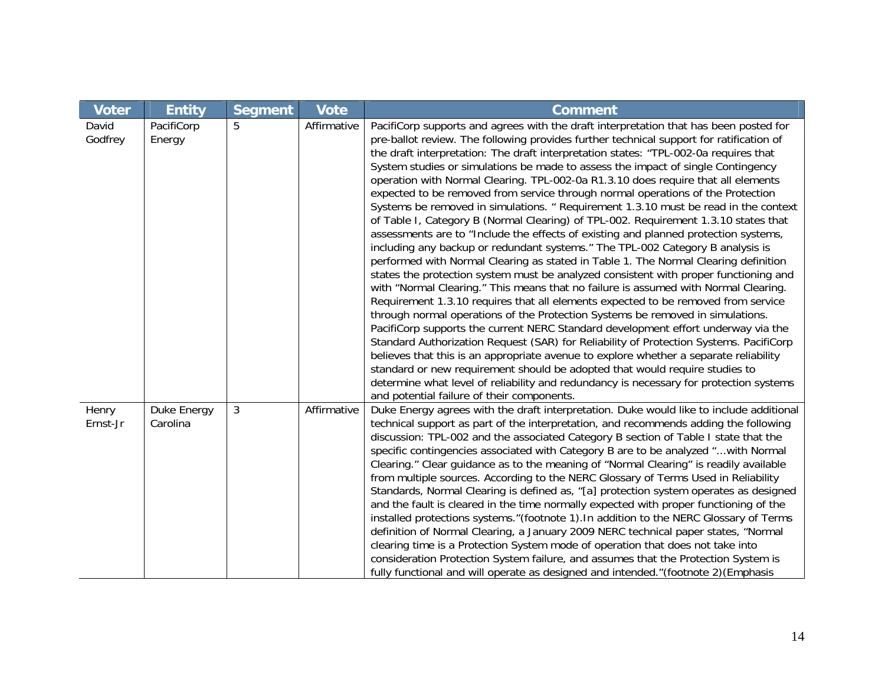| <b>Voter</b>      | <b>Entity</b>           | <b>Segment</b> | <b>Vote</b> | <b>Comment</b>                                                                                                                                                                                                                                                                                                                                                                                                                                                                                                                                                                                                                                                                                                                                                                                                                                                                                                                                                                                                                                                                                                                                                                                                                                                                                                                                                                                                                                                                                                                                                                                                                                                                                                                                                                                                                          |
|-------------------|-------------------------|----------------|-------------|-----------------------------------------------------------------------------------------------------------------------------------------------------------------------------------------------------------------------------------------------------------------------------------------------------------------------------------------------------------------------------------------------------------------------------------------------------------------------------------------------------------------------------------------------------------------------------------------------------------------------------------------------------------------------------------------------------------------------------------------------------------------------------------------------------------------------------------------------------------------------------------------------------------------------------------------------------------------------------------------------------------------------------------------------------------------------------------------------------------------------------------------------------------------------------------------------------------------------------------------------------------------------------------------------------------------------------------------------------------------------------------------------------------------------------------------------------------------------------------------------------------------------------------------------------------------------------------------------------------------------------------------------------------------------------------------------------------------------------------------------------------------------------------------------------------------------------------------|
| David<br>Godfrey  | PacifiCorp<br>Energy    | 5              | Affirmative | PacifiCorp supports and agrees with the draft interpretation that has been posted for<br>pre-ballot review. The following provides further technical support for ratification of<br>the draft interpretation: The draft interpretation states: "TPL-002-0a requires that<br>System studies or simulations be made to assess the impact of single Contingency<br>operation with Normal Clearing. TPL-002-0a R1.3.10 does require that all elements<br>expected to be removed from service through normal operations of the Protection<br>Systems be removed in simulations. " Requirement 1.3.10 must be read in the context<br>of Table I, Category B (Normal Clearing) of TPL-002. Requirement 1.3.10 states that<br>assessments are to "Include the effects of existing and planned protection systems,<br>including any backup or redundant systems." The TPL-002 Category B analysis is<br>performed with Normal Clearing as stated in Table 1. The Normal Clearing definition<br>states the protection system must be analyzed consistent with proper functioning and<br>with "Normal Clearing." This means that no failure is assumed with Normal Clearing.<br>Requirement 1.3.10 requires that all elements expected to be removed from service<br>through normal operations of the Protection Systems be removed in simulations.<br>PacifiCorp supports the current NERC Standard development effort underway via the<br>Standard Authorization Request (SAR) for Reliability of Protection Systems. PacifiCorp<br>believes that this is an appropriate avenue to explore whether a separate reliability<br>standard or new requirement should be adopted that would require studies to<br>determine what level of reliability and redundancy is necessary for protection systems<br>and potential failure of their components. |
| Henry<br>Ernst-Jr | Duke Energy<br>Carolina | 3              | Affirmative | Duke Energy agrees with the draft interpretation. Duke would like to include additional<br>technical support as part of the interpretation, and recommends adding the following<br>discussion: TPL-002 and the associated Category B section of Table I state that the<br>specific contingencies associated with Category B are to be analyzed "with Normal<br>Clearing." Clear guidance as to the meaning of "Normal Clearing" is readily available<br>from multiple sources. According to the NERC Glossary of Terms Used in Reliability<br>Standards, Normal Clearing is defined as, "[a] protection system operates as designed<br>and the fault is cleared in the time normally expected with proper functioning of the<br>installed protections systems." (footnote 1). In addition to the NERC Glossary of Terms<br>definition of Normal Clearing, a January 2009 NERC technical paper states, "Normal<br>clearing time is a Protection System mode of operation that does not take into<br>consideration Protection System failure, and assumes that the Protection System is<br>fully functional and will operate as designed and intended."(footnote 2) (Emphasis                                                                                                                                                                                                                                                                                                                                                                                                                                                                                                                                                                                                                                                             |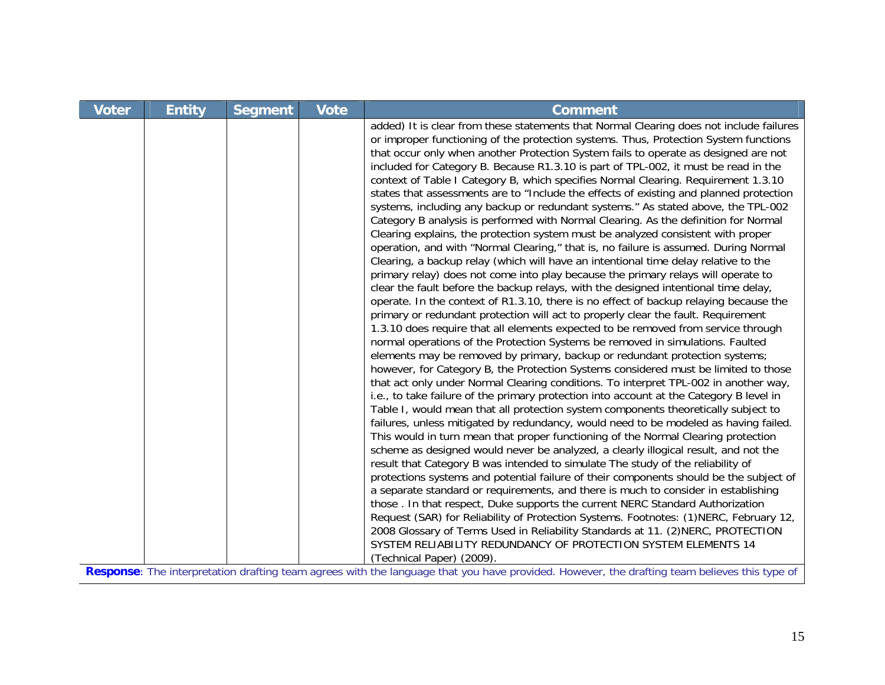| <b>Voter</b> | <b>Entity</b>                                          | <b>Segment</b> | <b>Vote</b> | <b>Comment</b>                                                                                                                                                                                                                                                                                                                                                                                                                                                                                                                                                                                                                                                                                                                                                                                                                                                                                                                                                                                                                                                                                                                                                                                                                                                                                                                                                                                                                                                                                                                                                                                                                                                                                                                                                                                                                                                                                                                                                                                                                                                                                                                                                                                                                                                                                                                                                                                                                                                                                                                                                                                                                                                                                                                                                                                                                                      |
|--------------|--------------------------------------------------------|----------------|-------------|-----------------------------------------------------------------------------------------------------------------------------------------------------------------------------------------------------------------------------------------------------------------------------------------------------------------------------------------------------------------------------------------------------------------------------------------------------------------------------------------------------------------------------------------------------------------------------------------------------------------------------------------------------------------------------------------------------------------------------------------------------------------------------------------------------------------------------------------------------------------------------------------------------------------------------------------------------------------------------------------------------------------------------------------------------------------------------------------------------------------------------------------------------------------------------------------------------------------------------------------------------------------------------------------------------------------------------------------------------------------------------------------------------------------------------------------------------------------------------------------------------------------------------------------------------------------------------------------------------------------------------------------------------------------------------------------------------------------------------------------------------------------------------------------------------------------------------------------------------------------------------------------------------------------------------------------------------------------------------------------------------------------------------------------------------------------------------------------------------------------------------------------------------------------------------------------------------------------------------------------------------------------------------------------------------------------------------------------------------------------------------------------------------------------------------------------------------------------------------------------------------------------------------------------------------------------------------------------------------------------------------------------------------------------------------------------------------------------------------------------------------------------------------------------------------------------------------------------------------|
|              |                                                        |                |             | added) It is clear from these statements that Normal Clearing does not include failures<br>or improper functioning of the protection systems. Thus, Protection System functions<br>that occur only when another Protection System fails to operate as designed are not<br>included for Category B. Because R1.3.10 is part of TPL-002, it must be read in the<br>context of Table I Category B, which specifies Normal Clearing. Requirement 1.3.10<br>states that assessments are to "Include the effects of existing and planned protection<br>systems, including any backup or redundant systems." As stated above, the TPL-002<br>Category B analysis is performed with Normal Clearing. As the definition for Normal<br>Clearing explains, the protection system must be analyzed consistent with proper<br>operation, and with "Normal Clearing," that is, no failure is assumed. During Normal<br>Clearing, a backup relay (which will have an intentional time delay relative to the<br>primary relay) does not come into play because the primary relays will operate to<br>clear the fault before the backup relays, with the designed intentional time delay,<br>operate. In the context of R1.3.10, there is no effect of backup relaying because the<br>primary or redundant protection will act to properly clear the fault. Requirement<br>1.3.10 does require that all elements expected to be removed from service through<br>normal operations of the Protection Systems be removed in simulations. Faulted<br>elements may be removed by primary, backup or redundant protection systems;<br>however, for Category B, the Protection Systems considered must be limited to those<br>that act only under Normal Clearing conditions. To interpret TPL-002 in another way,<br>i.e., to take failure of the primary protection into account at the Category B level in<br>Table I, would mean that all protection system components theoretically subject to<br>failures, unless mitigated by redundancy, would need to be modeled as having failed.<br>This would in turn mean that proper functioning of the Normal Clearing protection<br>scheme as designed would never be analyzed, a clearly illogical result, and not the<br>result that Category B was intended to simulate The study of the reliability of<br>protections systems and potential failure of their components should be the subject of<br>a separate standard or requirements, and there is much to consider in establishing<br>those. In that respect, Duke supports the current NERC Standard Authorization<br>Request (SAR) for Reliability of Protection Systems. Footnotes: (1)NERC, February 12,<br>2008 Glossary of Terms Used in Reliability Standards at 11. (2) NERC, PROTECTION<br>SYSTEM RELIABILITY REDUNDANCY OF PROTECTION SYSTEM ELEMENTS 14 |
|              | <b>Deepense</b> , The informatetion drefting team eare |                |             | (Technical Paper) (2009).<br>the lenguage that you have provided However, the drefting team believes this type of                                                                                                                                                                                                                                                                                                                                                                                                                                                                                                                                                                                                                                                                                                                                                                                                                                                                                                                                                                                                                                                                                                                                                                                                                                                                                                                                                                                                                                                                                                                                                                                                                                                                                                                                                                                                                                                                                                                                                                                                                                                                                                                                                                                                                                                                                                                                                                                                                                                                                                                                                                                                                                                                                                                                   |

**Response**: The interpretation drafting team agrees with the language that you have provided. However, the drafting team believes this type of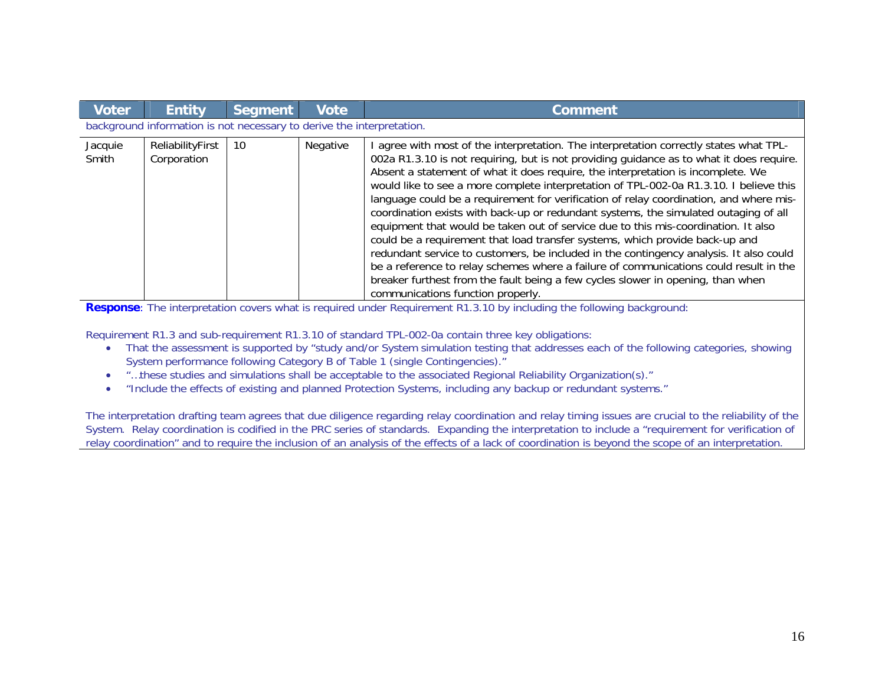| <b>Voter</b>     | <b>Entity</b>                                                         | Segment | <b>Vote</b> | <b>Comment</b>                                                                                                                                                                                                                                                                                                                                                                                                                                                                                                                                                                                                                                                                                                                                                                                                                                                                                                                                                                                                                    |  |  |
|------------------|-----------------------------------------------------------------------|---------|-------------|-----------------------------------------------------------------------------------------------------------------------------------------------------------------------------------------------------------------------------------------------------------------------------------------------------------------------------------------------------------------------------------------------------------------------------------------------------------------------------------------------------------------------------------------------------------------------------------------------------------------------------------------------------------------------------------------------------------------------------------------------------------------------------------------------------------------------------------------------------------------------------------------------------------------------------------------------------------------------------------------------------------------------------------|--|--|
|                  | background information is not necessary to derive the interpretation. |         |             |                                                                                                                                                                                                                                                                                                                                                                                                                                                                                                                                                                                                                                                                                                                                                                                                                                                                                                                                                                                                                                   |  |  |
| Jacquie<br>Smith | ReliabilityFirst<br>Corporation                                       | 10      | Negative    | agree with most of the interpretation. The interpretation correctly states what TPL-<br>002a R1.3.10 is not requiring, but is not providing guidance as to what it does require.<br>Absent a statement of what it does require, the interpretation is incomplete. We<br>would like to see a more complete interpretation of TPL-002-0a R1.3.10. I believe this<br>language could be a requirement for verification of relay coordination, and where mis-<br>coordination exists with back-up or redundant systems, the simulated outaging of all<br>equipment that would be taken out of service due to this mis-coordination. It also<br>could be a requirement that load transfer systems, which provide back-up and<br>redundant service to customers, be included in the contingency analysis. It also could<br>be a reference to relay schemes where a failure of communications could result in the<br>breaker furthest from the fault being a few cycles slower in opening, than when<br>communications function properly. |  |  |

**Response**: The interpretation covers what is required under Requirement R1.3.10 by including the following background:

Requirement R1.3 and sub-requirement R1.3.10 of standard TPL-002-0a contain three key obligations:

- That the assessment is supported by "study and/or System simulation testing that addresses each of the following categories, showing System performance following Category B of Table 1 (single Contingencies)."
- $\bullet$ "…these studies and simulations shall be acceptable to the associated Regional Reliability Organization(s)."
- $\bullet$ "Include the effects of existing and planned Protection Systems, including any backup or redundant systems."

The interpretation drafting team agrees that due diligence regarding relay coordination and relay timing issues are crucial to the reliability of the System. Relay coordination is codified in the PRC series of standards. Expanding the interpretation to include a "requirement for verification of relay coordination" and to require the inclusion of an analysis of the effects of a lack of coordination is beyond the scope of an interpretation.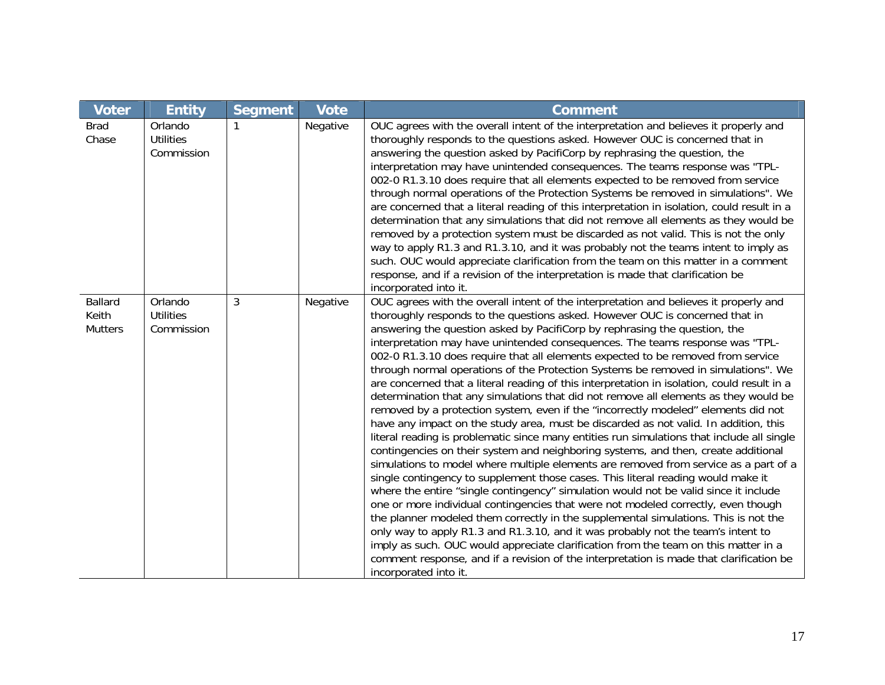| <b>Voter</b>                       | <b>Entity</b>                             | Segment | <b>Vote</b> | <b>Comment</b>                                                                                                                                                                                                                                                                                                                                                                                                                                                                                                                                                                                                                                                                                                                                                                                                                                                                                                                                                                                                                                                                                                                                                                                                                                                                                                                                                                                                                                                                                                                                                                                                                                                                                                                                                                                                         |
|------------------------------------|-------------------------------------------|---------|-------------|------------------------------------------------------------------------------------------------------------------------------------------------------------------------------------------------------------------------------------------------------------------------------------------------------------------------------------------------------------------------------------------------------------------------------------------------------------------------------------------------------------------------------------------------------------------------------------------------------------------------------------------------------------------------------------------------------------------------------------------------------------------------------------------------------------------------------------------------------------------------------------------------------------------------------------------------------------------------------------------------------------------------------------------------------------------------------------------------------------------------------------------------------------------------------------------------------------------------------------------------------------------------------------------------------------------------------------------------------------------------------------------------------------------------------------------------------------------------------------------------------------------------------------------------------------------------------------------------------------------------------------------------------------------------------------------------------------------------------------------------------------------------------------------------------------------------|
| <b>Brad</b><br>Chase               | Orlando<br><b>Utilities</b><br>Commission |         | Negative    | OUC agrees with the overall intent of the interpretation and believes it properly and<br>thoroughly responds to the questions asked. However OUC is concerned that in<br>answering the question asked by PacifiCorp by rephrasing the question, the<br>interpretation may have unintended consequences. The teams response was "TPL-<br>002-0 R1.3.10 does require that all elements expected to be removed from service<br>through normal operations of the Protection Systems be removed in simulations". We<br>are concerned that a literal reading of this interpretation in isolation, could result in a<br>determination that any simulations that did not remove all elements as they would be<br>removed by a protection system must be discarded as not valid. This is not the only<br>way to apply R1.3 and R1.3.10, and it was probably not the teams intent to imply as<br>such. OUC would appreciate clarification from the team on this matter in a comment<br>response, and if a revision of the interpretation is made that clarification be<br>incorporated into it.                                                                                                                                                                                                                                                                                                                                                                                                                                                                                                                                                                                                                                                                                                                                  |
| Ballard<br>Keith<br><b>Mutters</b> | Orlando<br><b>Utilities</b><br>Commission | 3       | Negative    | OUC agrees with the overall intent of the interpretation and believes it properly and<br>thoroughly responds to the questions asked. However OUC is concerned that in<br>answering the question asked by PacifiCorp by rephrasing the question, the<br>interpretation may have unintended consequences. The teams response was "TPL-<br>002-0 R1.3.10 does require that all elements expected to be removed from service<br>through normal operations of the Protection Systems be removed in simulations". We<br>are concerned that a literal reading of this interpretation in isolation, could result in a<br>determination that any simulations that did not remove all elements as they would be<br>removed by a protection system, even if the "incorrectly modeled" elements did not<br>have any impact on the study area, must be discarded as not valid. In addition, this<br>literal reading is problematic since many entities run simulations that include all single<br>contingencies on their system and neighboring systems, and then, create additional<br>simulations to model where multiple elements are removed from service as a part of a<br>single contingency to supplement those cases. This literal reading would make it<br>where the entire "single contingency" simulation would not be valid since it include<br>one or more individual contingencies that were not modeled correctly, even though<br>the planner modeled them correctly in the supplemental simulations. This is not the<br>only way to apply R1.3 and R1.3.10, and it was probably not the team's intent to<br>imply as such. OUC would appreciate clarification from the team on this matter in a<br>comment response, and if a revision of the interpretation is made that clarification be<br>incorporated into it. |